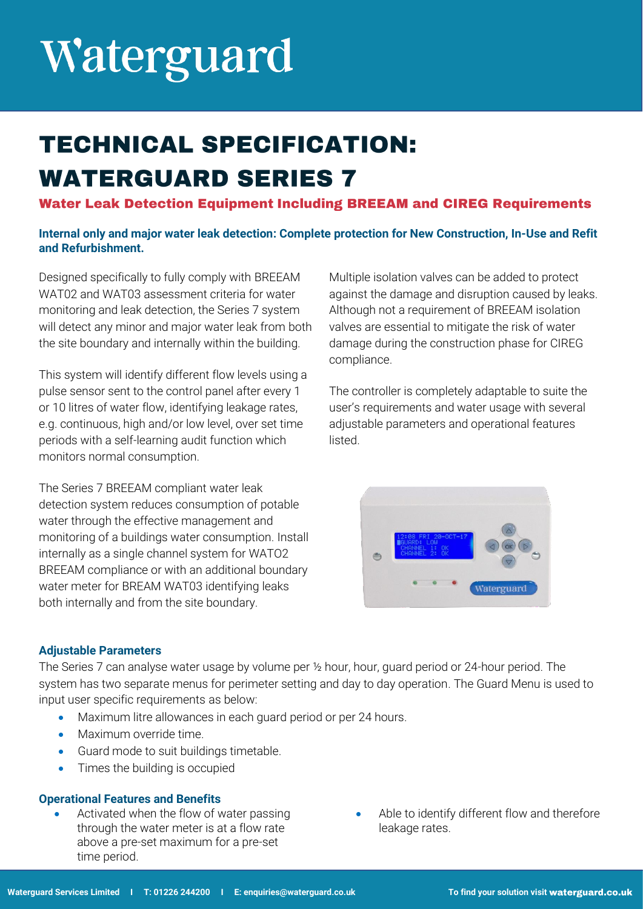# Waterguard

### **TECHNICAL SPECIFICATION: WATERGUARD SERIES 7**

### **Water Leak Detection Equipment Including BREEAM and CIREG Requirements**

### **Internal only and major water leak detection: Complete protection for New Construction, In-Use and Refit and Refurbishment.**

Designed specifically to fully comply with BREEAM WAT02 and WAT03 assessment criteria for water monitoring and leak detection, the Series 7 system will detect any minor and major water leak from both the site boundary and internally within the building.

This system will identify different flow levels using a pulse sensor sent to the control panel after every 1 or 10 litres of water flow, identifying leakage rates, e.g. continuous, high and/or low level, over set time periods with a self-learning audit function which monitors normal consumption.

The Series 7 BREEAM compliant water leak detection system reduces consumption of potable water through the effective management and monitoring of a buildings water consumption. Install internally as a single channel system for WATO2 BREEAM compliance or with an additional boundary water meter for BREAM WAT03 identifying leaks both internally and from the site boundary.

Multiple isolation valves can be added to protect against the damage and disruption caused by leaks. Although not a requirement of BREEAM isolation valves are essential to mitigate the risk of water damage during the construction phase for CIREG compliance.

The controller is completely adaptable to suite the user's requirements and water usage with several adjustable parameters and operational features listed.



### **Adjustable Parameters**

The Series 7 can analyse water usage by volume per ½ hour, hour, guard period or 24-hour period. The system has two separate menus for perimeter setting and day to day operation. The Guard Menu is used to input user specific requirements as below:

- Maximum litre allowances in each guard period or per 24 hours.
- Maximum override time.
- Guard mode to suit buildings timetable.
- Times the building is occupied

### **Operational Features and Benefits**

- Activated when the flow of water passing through the water meter is at a flow rate above a pre-set maximum for a pre-set time period.
- Able to identify different flow and therefore leakage rates.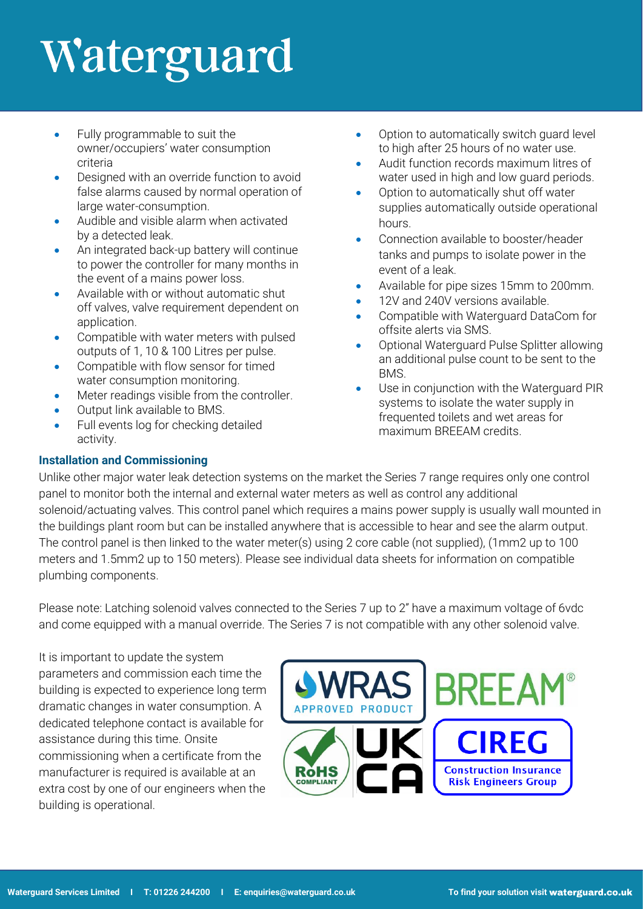# Waterguard

- Fully programmable to suit the owner/occupiers' water consumption criteria
- Designed with an override function to avoid false alarms caused by normal operation of large water-consumption.
- Audible and visible alarm when activated by a detected leak.
- An integrated back-up battery will continue to power the controller for many months in the event of a mains power loss.
- Available with or without automatic shut off valves, valve requirement dependent on application.
- Compatible with water meters with pulsed outputs of 1, 10 & 100 Litres per pulse.
- Compatible with flow sensor for timed water consumption monitoring.
- Meter readings visible from the controller.
- Output link available to BMS.
- Full events log for checking detailed activity.
- Option to automatically switch guard level to high after 25 hours of no water use.
- Audit function records maximum litres of water used in high and low guard periods.
- Option to automatically shut off water supplies automatically outside operational hours.
- Connection available to booster/header tanks and pumps to isolate power in the event of a leak.
- Available for pipe sizes 15mm to 200mm.
- 12V and 240V versions available.
- Compatible with Waterguard DataCom for offsite alerts via SMS.
- Optional Waterguard Pulse Splitter allowing an additional pulse count to be sent to the BMS.
- Use in conjunction with the Waterguard PIR systems to isolate the water supply in frequented toilets and wet areas for maximum BREEAM credits.

### **Installation and Commissioning**

Unlike other major water leak detection systems on the market the Series 7 range requires only one control panel to monitor both the internal and external water meters as well as control any additional solenoid/actuating valves. This control panel which requires a mains power supply is usually wall mounted in the buildings plant room but can be installed anywhere that is accessible to hear and see the alarm output. The control panel is then linked to the water meter(s) using 2 core cable (not supplied), (1mm2 up to 100 meters and 1.5mm2 up to 150 meters). Please see individual data sheets for information on compatible plumbing components.

Please note: Latching solenoid valves connected to the Series 7 up to 2" have a maximum voltage of 6vdc and come equipped with a manual override. The Series 7 is not compatible with any other solenoid valve.

It is important to update the system parameters and commission each time the building is expected to experience long term dramatic changes in water consumption. A dedicated telephone contact is available for assistance during this time. Onsite commissioning when a certificate from the manufacturer is required is available at an extra cost by one of our engineers when the building is operational.